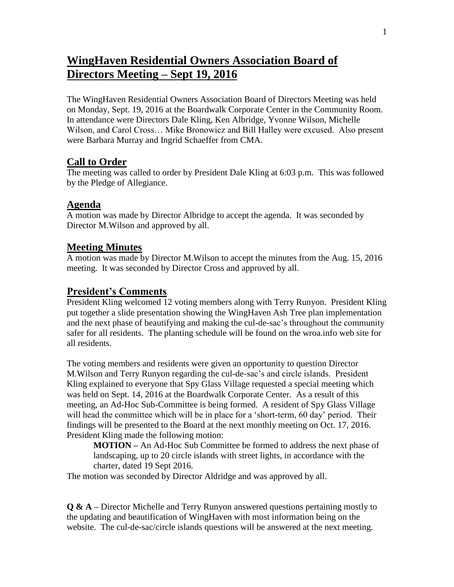# **WingHaven Residential Owners Association Board of Directors Meeting – Sept 19, 2016**

The WingHaven Residential Owners Association Board of Directors Meeting was held on Monday, Sept. 19, 2016 at the Boardwalk Corporate Center in the Community Room. In attendance were Directors Dale Kling, Ken Albridge, Yvonne Wilson, Michelle Wilson, and Carol Cross… Mike Bronowicz and Bill Halley were excused. Also present were Barbara Murray and Ingrid Schaeffer from CMA.

## **Call to Order**

The meeting was called to order by President Dale Kling at 6:03 p.m. This was followed by the Pledge of Allegiance.

## **Agenda**

A motion was made by Director Albridge to accept the agenda. It was seconded by Director M.Wilson and approved by all.

#### **Meeting Minutes**

A motion was made by Director M.Wilson to accept the minutes from the Aug. 15, 2016 meeting. It was seconded by Director Cross and approved by all.

#### **President's Comments**

President Kling welcomed 12 voting members along with Terry Runyon. President Kling put together a slide presentation showing the WingHaven Ash Tree plan implementation and the next phase of beautifying and making the cul-de-sac's throughout the community safer for all residents. The planting schedule will be found on the wroa.info web site for all residents.

The voting members and residents were given an opportunity to question Director M.Wilson and Terry Runyon regarding the cul-de-sac's and circle islands. President Kling explained to everyone that Spy Glass Village requested a special meeting which was held on Sept. 14, 2016 at the Boardwalk Corporate Center. As a result of this meeting, an Ad-Hoc Sub-Committee is being formed. A resident of Spy Glass Village will head the committee which will be in place for a 'short-term, 60 day' period. Their findings will be presented to the Board at the next monthly meeting on Oct. 17, 2016. President Kling made the following motion:

**MOTION –** An Ad-Hoc Sub Committee be formed to address the next phase of landscaping, up to 20 circle islands with street lights, in accordance with the charter, dated 19 Sept 2016.

The motion was seconded by Director Aldridge and was approved by all.

**Q & A –** Director Michelle and Terry Runyon answered questions pertaining mostly to the updating and beautification of WingHaven with most information being on the website. The cul-de-sac/circle islands questions will be answered at the next meeting.